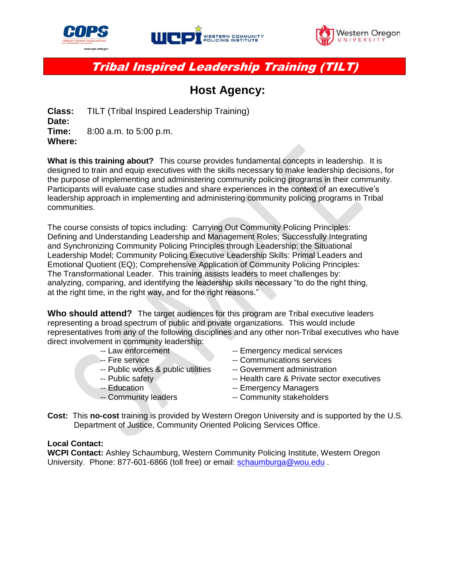





Tribal Inspired Leadership Training (TILT)

## **Host Agency:**

**Class:** TILT (Tribal Inspired Leadership Training) **Date: Time:** 8:00 a.m. to 5:00 p.m. **Where:** 

**What is this training about?** This course provides fundamental concepts in leadership. It is designed to train and equip executives with the skills necessary to make leadership decisions, for the purpose of implementing and administering community policing programs in their community. Participants will evaluate case studies and share experiences in the context of an executive's leadership approach in implementing and administering community policing programs in Tribal communities.

The course consists of topics including: Carrying Out Community Policing Principles: Defining and Understanding Leadership and Management Roles; Successfully Integrating and Synchronizing Community Policing Principles through Leadership: the Situational Leadership Model; Community Policing Executive Leadership Skills: Primal Leaders and Emotional Quotient (EQ); Comprehensive Application of Community Policing Principles: The Transformational Leader. This training assists leaders to meet challenges by: analyzing, comparing, and identifying the leadership skills necessary "to do the right thing, at the right time, in the right way, and for the right reasons."

**Who should attend?** The target audiences for this program are Tribal executive leaders representing a broad spectrum of public and private organizations. This would include representatives from any of the following disciplines and any other non-Tribal executives who have direct involvement in community leadership:

- 
- 
- -- Public works & public utilities -- Government administration
- 
- 
- 
- -- Law enforcement -- Emergency medical services
- -- Fire service **--- Communications services** 
	-
- -- Public safety -- Health care & Private sector executives
- -- Education **-- Emergency Managers**
- -- Community leaders -- Community stakeholders
- **Cost:** This **no-cost** training is provided by Western Oregon University and is supported by the U.S. Department of Justice, Community Oriented Policing Services Office.

## **Local Contact:**

**WCPI Contact:** Ashley Schaumburg, Western Community Policing Institute, Western Oregon University. Phone: 877-601-6866 (toll free) or email: [schaumburga@wou.edu](mailto:schaumburga@wou.edu) .